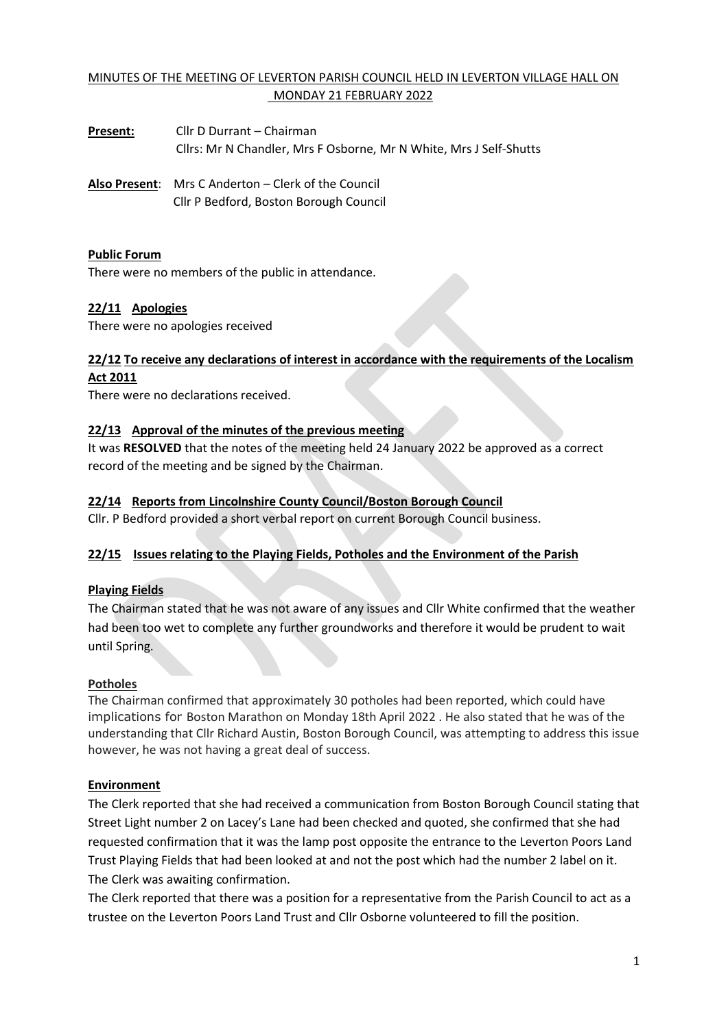## MINUTES OF THE MEETING OF LEVERTON PARISH COUNCIL HELD IN LEVERTON VILLAGE HALL ON MONDAY 21 FEBRUARY 2022

**Present:** Cllr D Durrant – Chairman Cllrs: Mr N Chandler, Mrs F Osborne, Mr N White, Mrs J Self-Shutts

**Also Present**: Mrs C Anderton – Clerk of the Council Cllr P Bedford, Boston Borough Council

### **Public Forum**

There were no members of the public in attendance.

### **22/11 Apologies**

There were no apologies received

### **22/12 To receive any declarations of interest in accordance with the requirements of the Localism Act 2011**

There were no declarations received.

### **22/13 Approval of the minutes of the previous meeting**

It was **RESOLVED** that the notes of the meeting held 24 January 2022 be approved as a correct record of the meeting and be signed by the Chairman.

### **22/14 Reports from Lincolnshire County Council/Boston Borough Council**

Cllr. P Bedford provided a short verbal report on current Borough Council business.

### **22/15 Issues relating to the Playing Fields, Potholes and the Environment of the Parish**

#### **Playing Fields**

The Chairman stated that he was not aware of any issues and Cllr White confirmed that the weather had been too wet to complete any further groundworks and therefore it would be prudent to wait until Spring.

#### **Potholes**

The Chairman confirmed that approximately 30 potholes had been reported, which could have implications for Boston Marathon on Monday 18th April 2022 . He also stated that he was of the understanding that Cllr Richard Austin, Boston Borough Council, was attempting to address this issue however, he was not having a great deal of success.

#### **Environment**

The Clerk reported that she had received a communication from Boston Borough Council stating that Street Light number 2 on Lacey's Lane had been checked and quoted, she confirmed that she had requested confirmation that it was the lamp post opposite the entrance to the Leverton Poors Land Trust Playing Fields that had been looked at and not the post which had the number 2 label on it. The Clerk was awaiting confirmation.

The Clerk reported that there was a position for a representative from the Parish Council to act as a trustee on the Leverton Poors Land Trust and Cllr Osborne volunteered to fill the position.